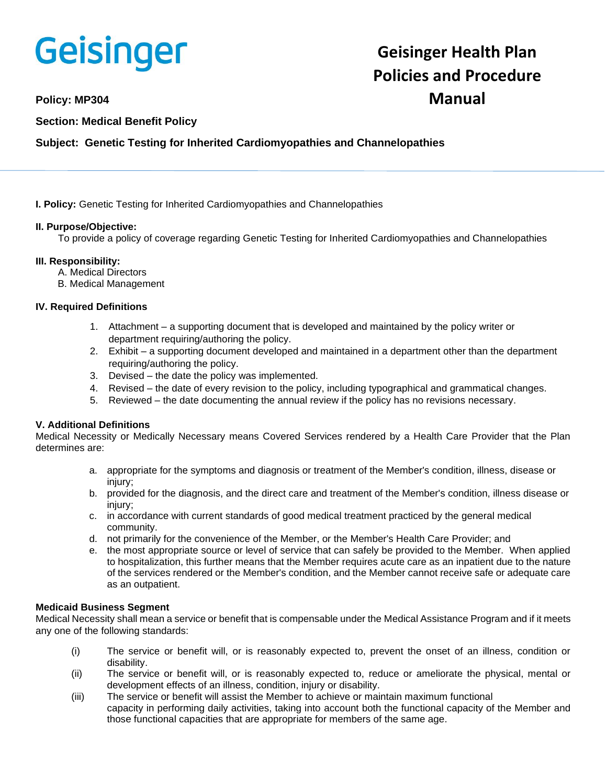

# **Geisinger Health Plan Policies and Procedure Policy: MP304 Manual**

## **Section: Medical Benefit Policy**

## **Subject: Genetic Testing for Inherited Cardiomyopathies and Channelopathies**

**I. Policy:** Genetic Testing for Inherited Cardiomyopathies and Channelopathies

## **II. Purpose/Objective:**

To provide a policy of coverage regarding Genetic Testing for Inherited Cardiomyopathies and Channelopathies

## **III. Responsibility:**

- A. Medical Directors
- B. Medical Management

## **IV. Required Definitions**

- 1. Attachment a supporting document that is developed and maintained by the policy writer or department requiring/authoring the policy.
- 2. Exhibit a supporting document developed and maintained in a department other than the department requiring/authoring the policy.
- 3. Devised the date the policy was implemented.
- 4. Revised the date of every revision to the policy, including typographical and grammatical changes.
- 5. Reviewed the date documenting the annual review if the policy has no revisions necessary.

## **V. Additional Definitions**

Medical Necessity or Medically Necessary means Covered Services rendered by a Health Care Provider that the Plan determines are:

- a. appropriate for the symptoms and diagnosis or treatment of the Member's condition, illness, disease or injury;
- b. provided for the diagnosis, and the direct care and treatment of the Member's condition, illness disease or injury;
- c. in accordance with current standards of good medical treatment practiced by the general medical community.
- d. not primarily for the convenience of the Member, or the Member's Health Care Provider; and
- e. the most appropriate source or level of service that can safely be provided to the Member. When applied to hospitalization, this further means that the Member requires acute care as an inpatient due to the nature of the services rendered or the Member's condition, and the Member cannot receive safe or adequate care as an outpatient.

## **Medicaid Business Segment**

Medical Necessity shall mean a service or benefit that is compensable under the Medical Assistance Program and if it meets any one of the following standards:

- (i) The service or benefit will, or is reasonably expected to, prevent the onset of an illness, condition or disability.
- (ii) The service or benefit will, or is reasonably expected to, reduce or ameliorate the physical, mental or development effects of an illness, condition, injury or disability.
- (iii) The service or benefit will assist the Member to achieve or maintain maximum functional capacity in performing daily activities, taking into account both the functional capacity of the Member and those functional capacities that are appropriate for members of the same age.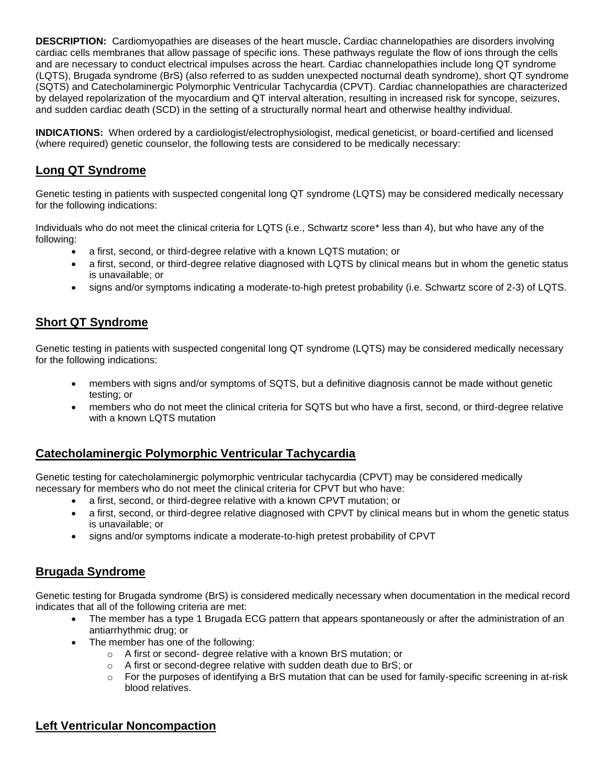**DESCRIPTION:** Cardiomyopathies are diseases of the heart muscle**.** Cardiac channelopathies are disorders involving cardiac cells membranes that allow passage of specific ions. These pathways regulate the flow of ions through the cells and are necessary to conduct electrical impulses across the heart. Cardiac channelopathies include long QT syndrome (LQTS), Brugada syndrome (BrS) (also referred to as sudden unexpected nocturnal death syndrome), short QT syndrome (SQTS) and Catecholaminergic Polymorphic Ventricular Tachycardia (CPVT). Cardiac channelopathies are characterized by delayed repolarization of the myocardium and QT interval alteration, resulting in increased risk for syncope, seizures, and sudden cardiac death (SCD) in the setting of a structurally normal heart and otherwise healthy individual.

**INDICATIONS:** When ordered by a cardiologist/electrophysiologist, medical geneticist, or board-certified and licensed (where required) genetic counselor, the following tests are considered to be medically necessary:

# **Long QT Syndrome**

Genetic testing in patients with suspected congenital long QT syndrome (LQTS) may be considered medically necessary for the following indications:

Individuals who do not meet the clinical criteria for LQTS (i.e., Schwartz score\* less than 4), but who have any of the following:

- a first, second, or third-degree relative with a known LQTS mutation; or
- a first, second, or third-degree relative diagnosed with LQTS by clinical means but in whom the genetic status is unavailable; or
- signs and/or symptoms indicating a moderate-to-high pretest probability (i.e. Schwartz score of 2-3) of LQTS.

# **Short QT Syndrome**

Genetic testing in patients with suspected congenital long QT syndrome (LQTS) may be considered medically necessary for the following indications:

- members with signs and/or symptoms of SQTS, but a definitive diagnosis cannot be made without genetic testing; or
- members who do not meet the clinical criteria for SQTS but who have a first, second, or third-degree relative with a known LQTS mutation

# **Catecholaminergic Polymorphic Ventricular Tachycardia**

Genetic testing for catecholaminergic polymorphic ventricular tachycardia (CPVT) may be considered medically necessary for members who do not meet the clinical criteria for CPVT but who have:

- a first, second, or third-degree relative with a known CPVT mutation; or
- a first, second, or third-degree relative diagnosed with CPVT by clinical means but in whom the genetic status is unavailable; or
- signs and/or symptoms indicate a moderate-to-high pretest probability of CPVT

# **Brugada Syndrome**

Genetic testing for Brugada syndrome (BrS) is considered medically necessary when documentation in the medical record indicates that all of the following criteria are met:

- The member has a type 1 Brugada ECG pattern that appears spontaneously or after the administration of an antiarrhythmic drug; or
- The member has one of the following:
	- o A first or second- degree relative with a known BrS mutation; or
	- o A first or second-degree relative with sudden death due to BrS; or
	- $\circ$  For the purposes of identifying a BrS mutation that can be used for family-specific screening in at-risk blood relatives.

# **Left Ventricular Noncompaction**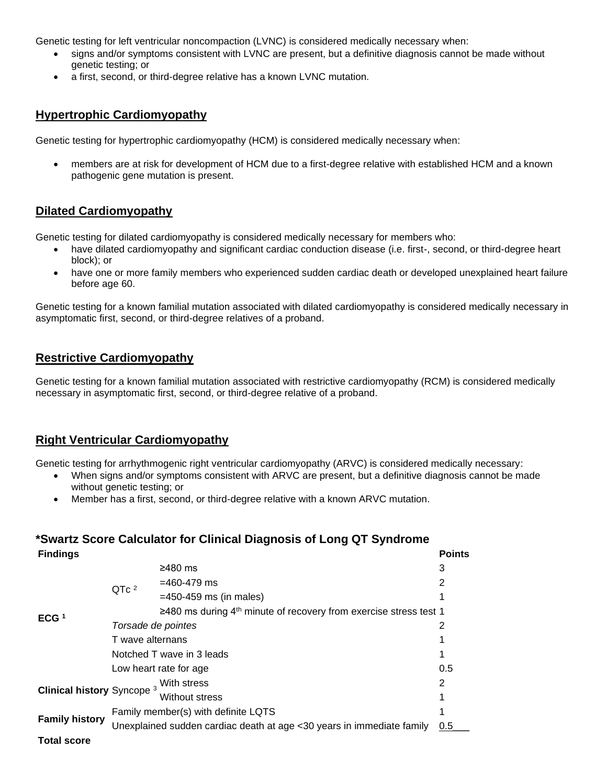Genetic testing for left ventricular noncompaction (LVNC) is considered medically necessary when:

- signs and/or symptoms consistent with LVNC are present, but a definitive diagnosis cannot be made without genetic testing; or
- a first, second, or third-degree relative has a known LVNC mutation.

## **Hypertrophic Cardiomyopathy**

Genetic testing for hypertrophic cardiomyopathy (HCM) is considered medically necessary when:

• members are at risk for development of HCM due to a first-degree relative with established HCM and a known pathogenic gene mutation is present.

# **Dilated Cardiomyopathy**

Genetic testing for dilated cardiomyopathy is considered medically necessary for members who:

- have dilated cardiomyopathy and significant cardiac conduction disease (i.e. first-, second, or third-degree heart block); or
- have one or more family members who experienced sudden cardiac death or developed unexplained heart failure before age 60.

Genetic testing for a known familial mutation associated with dilated cardiomyopathy is considered medically necessary in asymptomatic first, second, or third-degree relatives of a proband.

# **Restrictive Cardiomyopathy**

Genetic testing for a known familial mutation associated with restrictive cardiomyopathy (RCM) is considered medically necessary in asymptomatic first, second, or third-degree relative of a proband.

# **Right Ventricular Cardiomyopathy**

Genetic testing for arrhythmogenic right ventricular cardiomyopathy (ARVC) is considered medically necessary:

- When signs and/or symptoms consistent with ARVC are present, but a definitive diagnosis cannot be made without genetic testing; or
- Member has a first, second, or third-degree relative with a known ARVC mutation.

# **\*Swartz Score Calculator for Clinical Diagnosis of Long QT Syndrome**

| <b>Findings</b>                       |                                                                       |                                                                               | <b>Points</b> |
|---------------------------------------|-----------------------------------------------------------------------|-------------------------------------------------------------------------------|---------------|
| ECG $1$                               | QTc <sup>2</sup>                                                      | $≥480$ ms                                                                     | 3             |
|                                       |                                                                       | $=460-479$ ms                                                                 | 2             |
|                                       |                                                                       | $=450-459$ ms (in males)                                                      |               |
|                                       |                                                                       | ≥480 ms during 4 <sup>th</sup> minute of recovery from exercise stress test 1 |               |
|                                       | Torsade de pointes                                                    |                                                                               | 2             |
|                                       | T wave alternans                                                      |                                                                               | 1             |
|                                       | Notched T wave in 3 leads                                             |                                                                               | 1             |
|                                       | Low heart rate for age                                                |                                                                               | 0.5           |
| Clinical history Syncope <sup>3</sup> | With stress<br>Without stress                                         |                                                                               | 2             |
|                                       |                                                                       |                                                                               | 1             |
| <b>Family history</b>                 | Family member(s) with definite LQTS                                   |                                                                               | 1             |
|                                       | Unexplained sudden cardiac death at age <30 years in immediate family |                                                                               |               |
| <b>Total score</b>                    |                                                                       |                                                                               |               |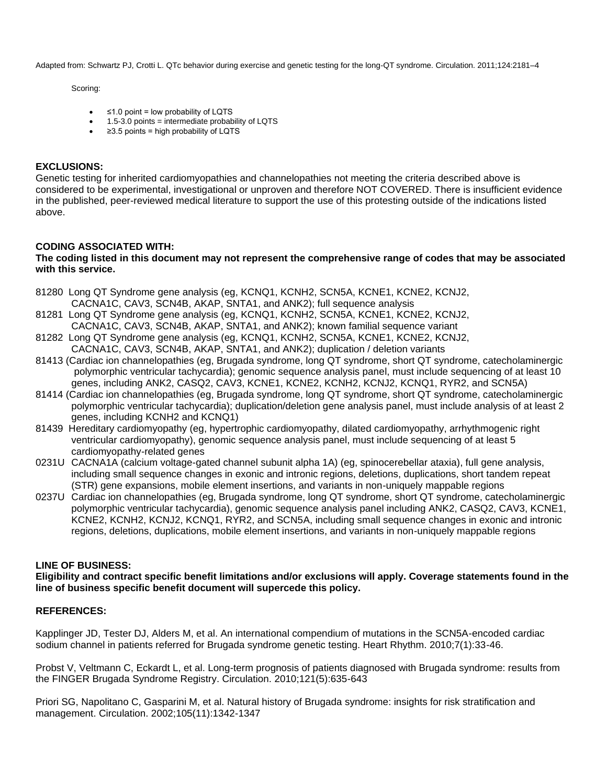Adapted from: Schwartz PJ, Crotti L. QTc behavior during exercise and genetic testing for the long-QT syndrome. Circulation. 2011;124:2181–4

Scoring:

- ≤1.0 point = low probability of LQTS
- 1.5-3.0 points = intermediate probability of LQTS
- ≥3.5 points = high probability of LQTS

## **EXCLUSIONS:**

Genetic testing for inherited cardiomyopathies and channelopathies not meeting the criteria described above is considered to be experimental, investigational or unproven and therefore NOT COVERED. There is insufficient evidence in the published, peer-reviewed medical literature to support the use of this protesting outside of the indications listed above.

## **CODING ASSOCIATED WITH:**

#### **The coding listed in this document may not represent the comprehensive range of codes that may be associated with this service.**

- 81280 Long QT Syndrome gene analysis (eg, KCNQ1, KCNH2, SCN5A, KCNE1, KCNE2, KCNJ2, CACNA1C, CAV3, SCN4B, AKAP, SNTA1, and ANK2); full sequence analysis
- 81281 Long QT Syndrome gene analysis (eg, KCNQ1, KCNH2, SCN5A, KCNE1, KCNE2, KCNJ2, CACNA1C, CAV3, SCN4B, AKAP, SNTA1, and ANK2); known familial sequence variant
- 81282 Long QT Syndrome gene analysis (eg, KCNQ1, KCNH2, SCN5A, KCNE1, KCNE2, KCNJ2, CACNA1C, CAV3, SCN4B, AKAP, SNTA1, and ANK2); duplication / deletion variants
- 81413 (Cardiac ion channelopathies (eg, Brugada syndrome, long QT syndrome, short QT syndrome, catecholaminergic polymorphic ventricular tachycardia); genomic sequence analysis panel, must include sequencing of at least 10 genes, including ANK2, CASQ2, CAV3, KCNE1, KCNE2, KCNH2, KCNJ2, KCNQ1, RYR2, and SCN5A)
- 81414 (Cardiac ion channelopathies (eg, Brugada syndrome, long QT syndrome, short QT syndrome, catecholaminergic polymorphic ventricular tachycardia); duplication/deletion gene analysis panel, must include analysis of at least 2 genes, including KCNH2 and KCNQ1)
- 81439 Hereditary cardiomyopathy (eg, hypertrophic cardiomyopathy, dilated cardiomyopathy, arrhythmogenic right ventricular cardiomyopathy), genomic sequence analysis panel, must include sequencing of at least 5 cardiomyopathy-related genes
- 0231U CACNA1A (calcium voltage-gated channel subunit alpha 1A) (eg, spinocerebellar ataxia), full gene analysis, including small sequence changes in exonic and intronic regions, deletions, duplications, short tandem repeat (STR) gene expansions, mobile element insertions, and variants in non-uniquely mappable regions
- 0237U Cardiac ion channelopathies (eg, Brugada syndrome, long QT syndrome, short QT syndrome, catecholaminergic polymorphic ventricular tachycardia), genomic sequence analysis panel including ANK2, CASQ2, CAV3, KCNE1, KCNE2, KCNH2, KCNJ2, KCNQ1, RYR2, and SCN5A, including small sequence changes in exonic and intronic regions, deletions, duplications, mobile element insertions, and variants in non-uniquely mappable regions

## **LINE OF BUSINESS:**

**Eligibility and contract specific benefit limitations and/or exclusions will apply. Coverage statements found in the line of business specific benefit document will supercede this policy.**

## **REFERENCES:**

Kapplinger JD, Tester DJ, Alders M, et al. An international compendium of mutations in the SCN5A-encoded cardiac sodium channel in patients referred for Brugada syndrome genetic testing. Heart Rhythm. 2010;7(1):33-46.

Probst V, Veltmann C, Eckardt L, et al. Long-term prognosis of patients diagnosed with Brugada syndrome: results from the FINGER Brugada Syndrome Registry. Circulation. 2010;121(5):635-643

Priori SG, Napolitano C, Gasparini M, et al. Natural history of Brugada syndrome: insights for risk stratification and management. Circulation. 2002;105(11):1342-1347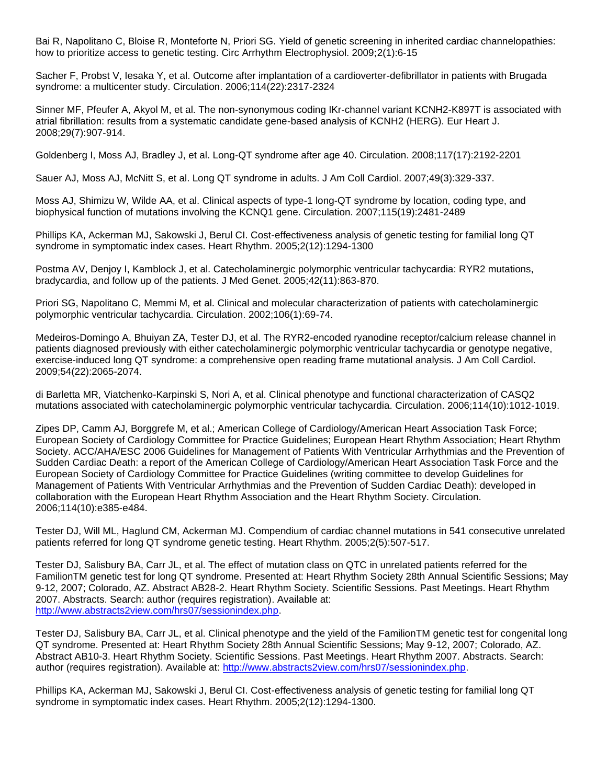Bai R, Napolitano C, Bloise R, Monteforte N, Priori SG. Yield of genetic screening in inherited cardiac channelopathies: how to prioritize access to genetic testing. Circ Arrhythm Electrophysiol. 2009;2(1):6-15

Sacher F, Probst V, Iesaka Y, et al. Outcome after implantation of a cardioverter-defibrillator in patients with Brugada syndrome: a multicenter study. Circulation. 2006;114(22):2317-2324

Sinner MF, Pfeufer A, Akyol M, et al. The non-synonymous coding IKr-channel variant KCNH2-K897T is associated with atrial fibrillation: results from a systematic candidate gene-based analysis of KCNH2 (HERG). Eur Heart J. 2008;29(7):907-914.

Goldenberg I, Moss AJ, Bradley J, et al. Long-QT syndrome after age 40. Circulation. 2008;117(17):2192-2201

Sauer AJ, Moss AJ, McNitt S, et al. Long QT syndrome in adults. J Am Coll Cardiol. 2007;49(3):329-337.

Moss AJ, Shimizu W, Wilde AA, et al. Clinical aspects of type-1 long-QT syndrome by location, coding type, and biophysical function of mutations involving the KCNQ1 gene. Circulation. 2007;115(19):2481-2489

Phillips KA, Ackerman MJ, Sakowski J, Berul CI. Cost-effectiveness analysis of genetic testing for familial long QT syndrome in symptomatic index cases. Heart Rhythm. 2005;2(12):1294-1300

Postma AV, Denjoy I, Kamblock J, et al. Catecholaminergic polymorphic ventricular tachycardia: RYR2 mutations, bradycardia, and follow up of the patients. J Med Genet. 2005;42(11):863-870.

Priori SG, Napolitano C, Memmi M, et al. Clinical and molecular characterization of patients with catecholaminergic polymorphic ventricular tachycardia. Circulation. 2002;106(1):69-74.

Medeiros-Domingo A, Bhuiyan ZA, Tester DJ, et al. The RYR2-encoded ryanodine receptor/calcium release channel in patients diagnosed previously with either catecholaminergic polymorphic ventricular tachycardia or genotype negative, exercise-induced long QT syndrome: a comprehensive open reading frame mutational analysis. J Am Coll Cardiol. 2009;54(22):2065-2074.

di Barletta MR, Viatchenko-Karpinski S, Nori A, et al. Clinical phenotype and functional characterization of CASQ2 mutations associated with catecholaminergic polymorphic ventricular tachycardia. Circulation. 2006;114(10):1012-1019.

Zipes DP, Camm AJ, Borggrefe M, et al.; American College of Cardiology/American Heart Association Task Force; European Society of Cardiology Committee for Practice Guidelines; European Heart Rhythm Association; Heart Rhythm Society. ACC/AHA/ESC 2006 Guidelines for Management of Patients With Ventricular Arrhythmias and the Prevention of Sudden Cardiac Death: a report of the American College of Cardiology/American Heart Association Task Force and the European Society of Cardiology Committee for Practice Guidelines (writing committee to develop Guidelines for Management of Patients With Ventricular Arrhythmias and the Prevention of Sudden Cardiac Death): developed in collaboration with the European Heart Rhythm Association and the Heart Rhythm Society. Circulation. 2006;114(10):e385-e484.

Tester DJ, Will ML, Haglund CM, Ackerman MJ. Compendium of cardiac channel mutations in 541 consecutive unrelated patients referred for long QT syndrome genetic testing. Heart Rhythm. 2005;2(5):507-517.

Tester DJ, Salisbury BA, Carr JL, et al. The effect of mutation class on QTC in unrelated patients referred for the FamilionTM genetic test for long QT syndrome. Presented at: Heart Rhythm Society 28th Annual Scientific Sessions; May 9-12, 2007; Colorado, AZ. Abstract AB28-2. Heart Rhythm Society. Scientific Sessions. Past Meetings. Heart Rhythm 2007. Abstracts. Search: author (requires registration). Available at: [http://www.abstracts2view.com/hrs07/sessionindex.php.](http://www.abstracts2view.com/hrs07/sessionindex.php)

Tester DJ, Salisbury BA, Carr JL, et al. Clinical phenotype and the yield of the FamilionTM genetic test for congenital long QT syndrome. Presented at: Heart Rhythm Society 28th Annual Scientific Sessions; May 9-12, 2007; Colorado, AZ. Abstract AB10-3. Heart Rhythm Society. Scientific Sessions. Past Meetings. Heart Rhythm 2007. Abstracts. Search: author (requires registration). Available at: [http://www.abstracts2view.com/hrs07/sessionindex.php.](http://www.abstracts2view.com/hrs07/sessionindex.php)

Phillips KA, Ackerman MJ, Sakowski J, Berul CI. Cost-effectiveness analysis of genetic testing for familial long QT syndrome in symptomatic index cases. Heart Rhythm. 2005;2(12):1294-1300.